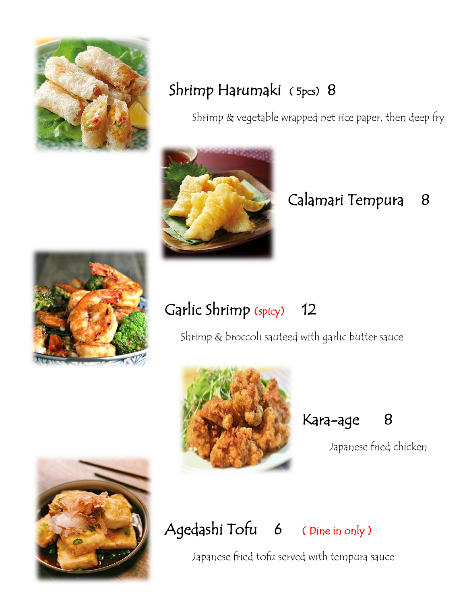

### Shrimp Harumaki ( 5pcs) 8

Shrimp & vegetable wrapped net rice paper, then deep fry



## Calamari Tempura 8



## Garlic Shrimp (spicy) 12

Shrimp & broccoli sauteed with garlic butter sauce



Kara-age 8

Japanese fried chicken



# Agedashi Tofu 6 ( Dine in only )

Japanese fried tofu served with tempura sauce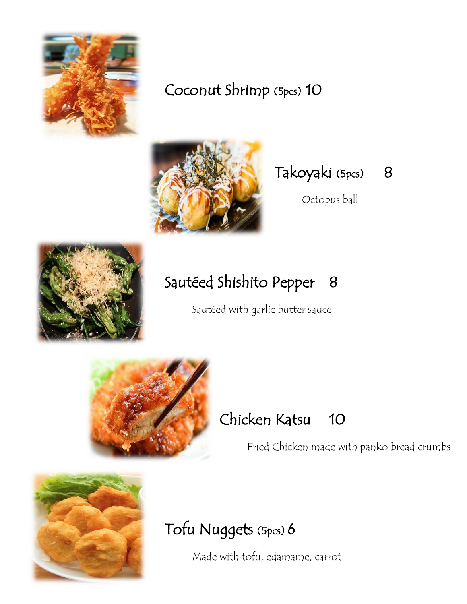

#### Coconut Shrimp (5pcs) 10



#### Takoyaki (5pcs) 8

Octopus ball



# Sautéed Shishito Pepper 8

Sautéed with garlic butter sauce



## Chicken Katsu 10

Fried Chicken made with panko bread crumbs



## Tofu Nuggets (5pcs) 6

Made with tofu, edamame, carrot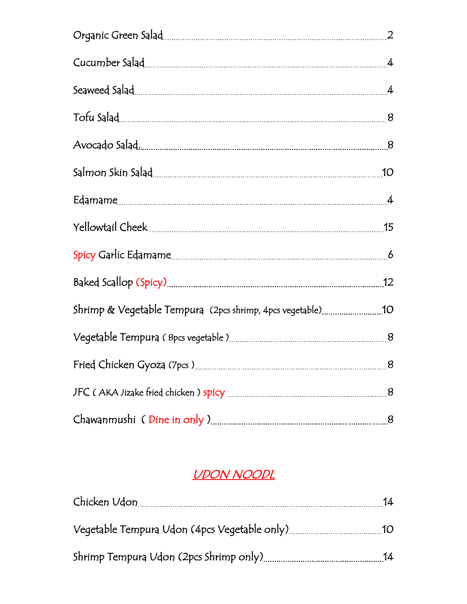| Avocado Salad. <u>2008. 2008. 2009. 2014. 2014. 2014. 2014. 2014. 2014. 2014. 2014. 2014. 2014. 2014. 2014. 2014. 20</u> |                |
|--------------------------------------------------------------------------------------------------------------------------|----------------|
|                                                                                                                          |                |
|                                                                                                                          |                |
|                                                                                                                          | 15             |
|                                                                                                                          |                |
|                                                                                                                          | 12             |
| Shrimp & Vegetable Tempura (2pcs shrimp, 4pcs vegetable)                                                                 | 10             |
|                                                                                                                          |                |
| Fried Chicken Gyoza (7pcs)                                                                                               | $\overline{8}$ |
|                                                                                                                          |                |
|                                                                                                                          |                |

#### UDON NOODL

| Chicken Udon                                 | 14              |
|----------------------------------------------|-----------------|
| Vegetable Tempura Udon (4pcs Vegetable only) | 1O <sub>1</sub> |
| Shrimp Tempura Udon (2pcs Shrimp only)       | 14              |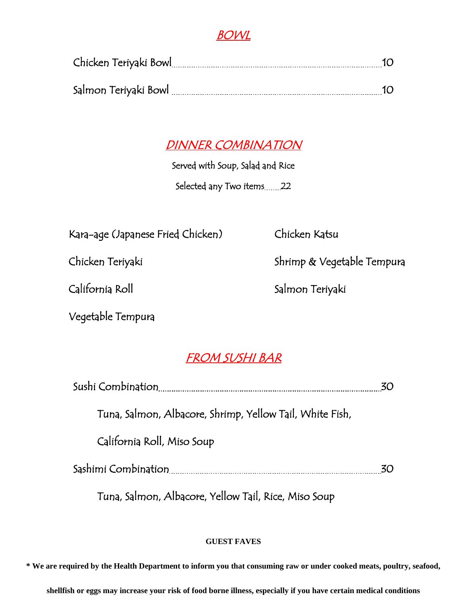#### BOWL

| Chicken Teriyaki Bowl |  |
|-----------------------|--|
| Salmon Teriyaki Bowl  |  |
|                       |  |

#### DINNER COMBINATION

Served with Soup, Salad and Rice

Selected any Two items 22

Kara-age (Japanese Fried Chicken) Chicken Katsu

Vegetable Tempura

Chicken Teriyaki Nasara Shrimp & Vegetable Tempura

California Roll Salmon Teriyaki

#### FROM SUSHI BAR

|                                                          | 30 |
|----------------------------------------------------------|----|
| Tuna, Salmon, Albacore, Shrimp, Yellow Tail, White Fish, |    |
| California Roll, Miso Soup                               |    |
|                                                          | 30 |
| $\tau$ cl all vil $\tau$ or $\mu$ c                      |    |

Tuna, Salmon, Albacore, Yellow Tail, Rice, Miso Soup

#### **GUEST FAVES**

**\* We are required by the Health Department to inform you that consuming raw or under cooked meats, poultry, seafood,** 

**shellfish or eggs may increase your risk of food borne illness, especially if you have certain medical conditions**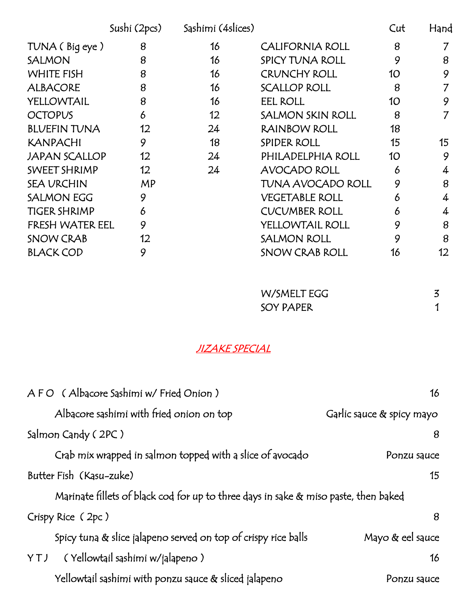|                      | Sushi (2pcs) | Sashimi (4slices) |                          | Cut | Hand |
|----------------------|--------------|-------------------|--------------------------|-----|------|
| TUNA (Big eye)       | 8            | 16                | <b>CALIFORNIA ROLL</b>   | 8   |      |
| <b>SALMON</b>        | 8            | 16                | SPICY TUNA ROLL          | 9   | 8    |
| <b>WHITE FISH</b>    | 8            | 16                | <b>CRUNCHY ROLL</b>      | 10  | 9    |
| <b>ALBACORE</b>      | 8            | 16                | <b>SCALLOP ROLL</b>      | 8   | 7    |
| YELLOWTAIL           | 8            | 16                | <b>EEL ROLL</b>          | 10  | 9    |
| <b>OCTOPUS</b>       | 6            | $12 \overline{ }$ | <b>SALMON SKIN ROLL</b>  | 8   | 7    |
| <b>BLUEFIN TUNA</b>  | 12           | 24                | RAINBOW ROLL             | 18  |      |
| <b>KANPACHI</b>      | 9            | 18                | <b>SPIDER ROLL</b>       | 15  | 15   |
| <b>JAPAN SCALLOP</b> | 12           | 24                | PHILADELPHIA ROLL        | 10  | 9    |
| SWEET SHRIMP         | 12           | 24                | <b>AVOCADO ROLL</b>      | 6   | 4    |
| <b>SEA URCHIN</b>    | <b>MP</b>    |                   | <b>TUNA AVOCADO ROLL</b> | 9   | 8    |
| <b>SALMON EGG</b>    | 9            |                   | <b>VEGETABLE ROLL</b>    | 6   | 4    |
| <b>TIGER SHRIMP</b>  | 6            |                   | <b>CUCUMBER ROLL</b>     | 6   | 4    |
| FRESH WATER EEL      | 9            |                   | YELLOWTAIL ROLL          | 9   | 8    |
| <b>SNOW CRAB</b>     | 12           |                   | <b>SALMON ROLL</b>       | 9   | 8    |
| <b>BLACK COD</b>     | 9            |                   | <b>SNOW CRAB ROLL</b>    | 16  | 12   |

| W/SMELT EGG |  |
|-------------|--|
| SOY PAPER   |  |

#### JIZAKE SPECIAL

| AFO (Albacore Sashimi w/ Fried Onion)                                               | 16                        |
|-------------------------------------------------------------------------------------|---------------------------|
| Albacore sashimi with fried onion on top                                            | Garlic sauce & spicy mayo |
| Salmon Candy (2PC)                                                                  | 8                         |
| Crab mix wrapped in salmon topped with a slice of avocado                           | Ponzu sauce               |
| Butter Fish (Kasu-zuke)                                                             | 15                        |
| Marinate fillets of black cod for up to three days in sake & miso paste, then baked |                           |
| Crispy Rice (2pc)                                                                   | 8                         |
| Spicy tuna & slice jalapeno served on top of crispy rice balls                      | Mayo $\&$ eel sauce       |
| ( Yellowtail sashimi w/jalapeno )<br>YTJ                                            | 16                        |
| Yellowtail sashimi with ponzu sauce & sliced jalapeno                               | Ponzu sauce               |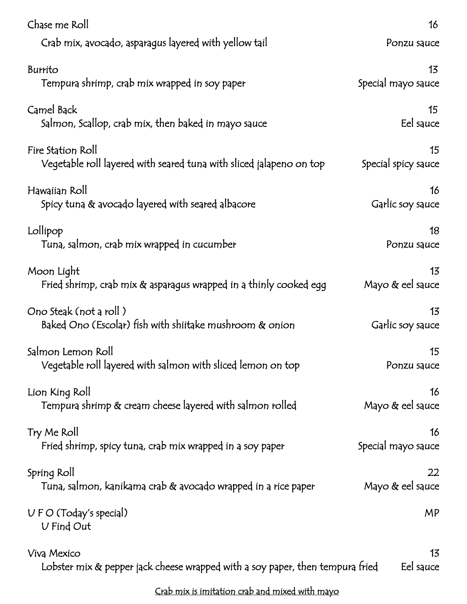| Chase me Roll                                                                 | 16                  |
|-------------------------------------------------------------------------------|---------------------|
| Crab mix, avocado, asparagus layered with yellow tail                         | Ponzu sauce         |
| Burrito                                                                       | 13                  |
| Tempura shrimp, crab mix wrapped in soy paper                                 | Special mayo sauce  |
| Camel Back                                                                    | 15 <sup>15</sup>    |
| Salmon, Scallop, crab mix, then baked in mayo sauce                           | Eel sauce           |
| Fire Station Roll                                                             | 15                  |
| Vegetable roll layered with seared tuna with sliced jalapeno on top           | Special spicy sauce |
| Hawaiian Roll                                                                 | 16                  |
| Spicy tuna $\&$ avocado layered with seared albacore                          | Garlic soy sauce    |
| Lollipop                                                                      | 18                  |
| Tuna, salmon, crab mix wrapped in cucumber                                    | Ponzu sauce         |
| Moon Light                                                                    | 13                  |
| Fried shrimp, crab mix $\&$ asparagus wrapped in a thinly cooked egg          | Mayo & eel sauce    |
| Ono Steak (not a roll)                                                        | 13                  |
| Baked Ono (Escolar) fish with shiitake mushroom & onion                       | Garlic soy sauce    |
| Salmon Lemon Roll                                                             | 15                  |
| Vegetable roll layered with salmon with sliced lemon on top                   | Ponzu sauce         |
| Lion King Roll                                                                | 16                  |
| Tempura shrimp & cream cheese layered with salmon rolled                      | Mayo $\&$ eel sauce |
| Try Me Roll                                                                   | 16                  |
| Fried shrimp, spicy tuna, crab mix wrapped in a soy paper                     | Special mayo sauce  |
| Spring Roll                                                                   | 22                  |
| Tuna, salmon, kanikama crab & avocado wrapped in a rice paper                 | Mayo & eel sauce    |
| U F O (Today's special)<br>V Find Out                                         | MP                  |
| Viva Mexico                                                                   | 13                  |
| Lobster mix & pepper jack cheese wrapped with a soy paper, then tempura fried | Eel sauce           |
| Crab mix is imitation crab and mixed with mayo                                |                     |